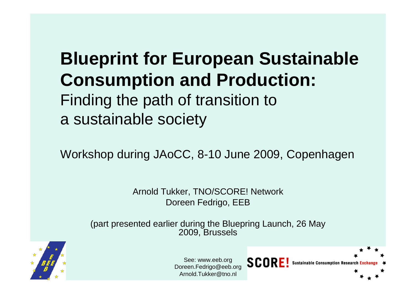## **Blueprint for European Sustainable Consumption and Production:**  Finding the path of transition to a sustainable society

Workshop during JAoCC, 8-10 June 2009, Copenhagen

Arnold Tukker, TNO/SCORE! Network Doreen Fedrigo, EEB

(part presented earlier during the Bluepring Launch, 26 May 2009, Brussels



See: www.eeb.org Doreen.Fedrigo@eeb.org Arnold.Tukker@tno.nl

SCOR

**Sustainable Consumption Research**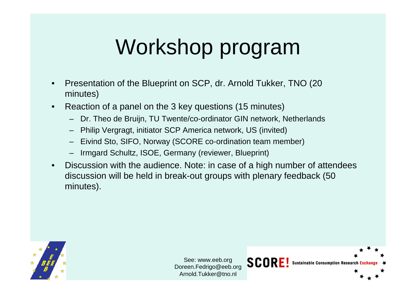# Workshop program

- Presentation of the Blueprint on SCP, dr. Arnold Tukker, TNO (20 minutes)
- Reaction of a panel on the 3 key questions (15 minutes)
	- Dr. Theo de Bruijn, TU Twente/co-ordinator GIN network, Netherlands
	- Philip Vergragt, initiator SCP America network, US (invited)
	- Eivind Sto, SIFO, Norway (SCORE co-ordination team member)
	- Irmgard Schultz, ISOE, Germany (reviewer, Blueprint)
- Discussion with the audience. Note: in case of a high number of attendees discussion will be held in break-out groups with plenary feedback (50 minutes).



See: www.eeb.org Doreen.Fedrigo@eeb.org Arnold.Tukker@tno.nl

SCORE!

**Sustainable Consumption Researd**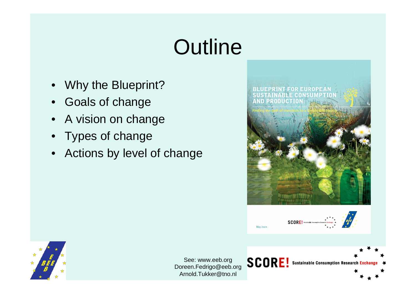# **Outline**

- Why the Blueprint?
- Goals of change
- A vision on change
- Types of change
- Actions by level of change





SCORE! Sustainable Consumption Research Exchange

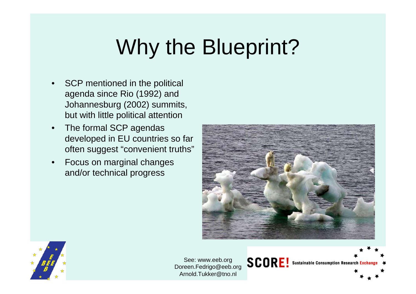# Why the Blueprint?

- SCP mentioned in the political agenda since Rio (1992) and Johannesburg (2002) summits, but with little political attention
- The formal SCP agendas developed in EU countries so far often suggest "convenient truths"
- Focus on marginal changes and/or technical progress



SCORE! Sustainable Consumption Research Exchange

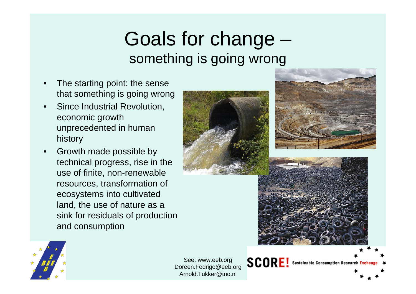# Goals for change – something is going wrong

- The starting point: the sense that something is going wrong
- Since Industrial Revolution, economic growth unprecedented in human history
- Growth made possible by technical progress, rise in the use of finite, non-renewable resources, transformation of ecosystems into cultivated land, the use of nature as a sink for residuals of production and consumption









See: www.eeb.org Doreen.Fedrigo@eeb.org Arnold.Tukker@tno.nl

**SCORE** 

**Sustainable Consumption Research Exchange**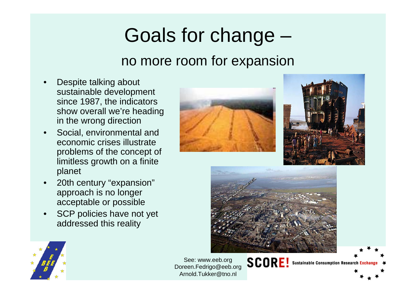# Goals for change – no more room for expansion

- Despite talking about sustainable development since 1987, the indicators show overall we're heading in the wrong direction
- Social, environmental and economic crises illustrate problems of the concept of limitless growth on a finite planet
- 20th century "expansion" approach is no longer acceptable or possible
- SCP policies have not yet addressed this reality





**Sustainable Consumption Research Exchange** 





See: www.eeb.org Doreen.Fedrigo@eeb.org Arnold.Tukker@tno.nl

SCOR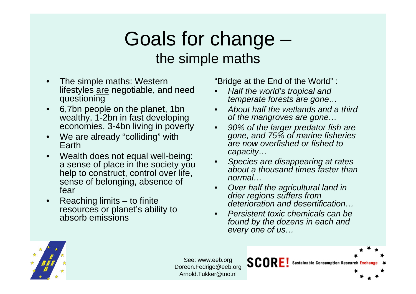## Goals for change – the simple maths

- The simple maths: Western lifestyles are negotiable, and need questioning
- 6,7bn people on the planet, 1bn wealthy, 1-2bn in fast developing economies, 3-4bn living in poverty
- We are already "colliding" with Earth
- Wealth does not equal well-being: a sense of place in the society you help to construct, control over life, sense of belonging, absence of fear
- Reaching limits to finite resources or planet's ability to absorb emissions

"Bridge at the End of the World" :

- *Half the world's tropical and temperate forests are gone…*
- *About half the wetlands and a third of the mangroves are gone…*
- *90% of the larger predator fish are gone, and 75% of marine fisheries are now overfished or fished to capacity…*
- *Species are disappearing at rates about a thousand times faster than normal…*
- *Over half the agricultural land in drier regions suffers from deterioration and desertification…*
- *Persistent toxic chemicals can be found by the dozens in each and every one of us…*

SCORE



See: www.eeb.org Doreen.Fedrigo@eeb.org Arnold.Tukker@tno.nl

**Sustainable Consumption Research**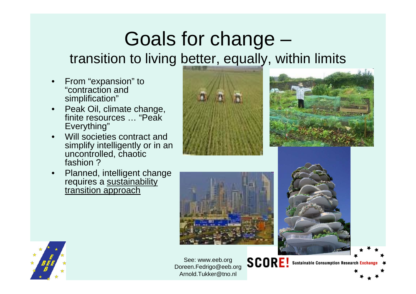# Goals for change – transition to living better, equally, within limits

- From "expansion" to "contraction and simplification"
- Peak Oil, climate change, finite resources … "Peak Everything"
- Will societies contract and simplify intelligently or in an uncontrolled, chaotic fashion ?
- Planned, intelligent change requires a <u>sustainability</u> transition approach









**SCORE! Sustainable Consumption Research Exchange** 

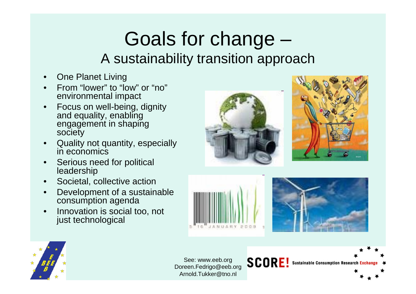# Goals for change – A sustainability transition approach

- **One Planet Living**
- From "lower" to "low" or "no" environmental impact
- Focus on well-being, dignity and equality, enabling engagement in shaping society
- Quality not quantity, especially in economics
- Serious need for political leadership
- Societal, collective action
- Development of a sustainable consumption agenda
- Innovation is social too, not just technological







**SCORE!** 





See: www.eeb.org Doreen.Fedrigo@eeb.org Arnold.Tukker@tno.nl

**Sustainable Consumption Research Exchange**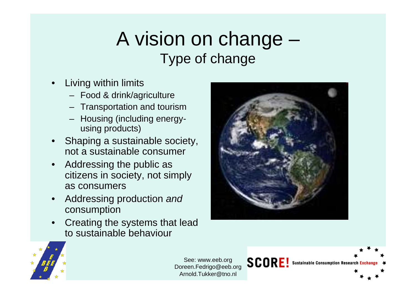# A vision on change – Type of change

- Living within limits
	- Food & drink/agriculture
	- Transportation and tourism
	- Housing (including energyusing products)
- Shaping a sustainable society, not a sustainable consumer
- Addressing the public as citizens in society, not simply as consumers
- Addressing production *and*  consumption
- Creating the systems that lead to sustainable behaviour



**SCORE!** 

**Sustainable Consumption Research Exchang** 

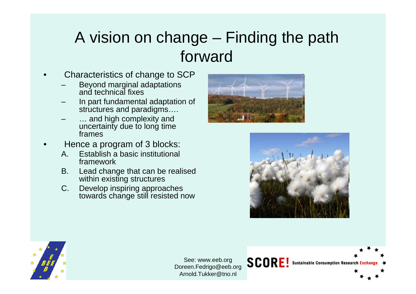#### A vision on change – Finding the path forward

- Characteristics of change to SCP
	- Beyond marginal adaptations and technical fixes
	- In part fundamental adaptation of structures and paradigms….
	- ... and high complexity and uncertainty due to long time frames
- Hence a program of 3 blocks:
	- A. Establish a basic institutional framework
	- B. Lead change that can be realised within existing structures
	- C. Develop inspiring approaches towards change still resisted now





SCORE! Sustainable Consumption Research Exchange

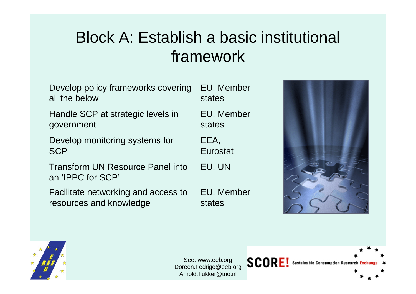#### Block A: Establish a basic institutional framework

| Develop policy frameworks covering                           | EU, Member |
|--------------------------------------------------------------|------------|
| all the below                                                | states     |
| Handle SCP at strategic levels in                            | EU, Member |
| government                                                   | states     |
| Develop monitoring systems for                               | EEA,       |
| <b>SCP</b>                                                   | Eurostat   |
| <b>Transform UN Resource Panel into</b><br>an 'IPPC for SCP' | EU, UN     |
| Facilitate networking and access to                          | EU, Member |
| resources and knowledge                                      | states     |



SCORE! Sustainable Consumption Research Exchang

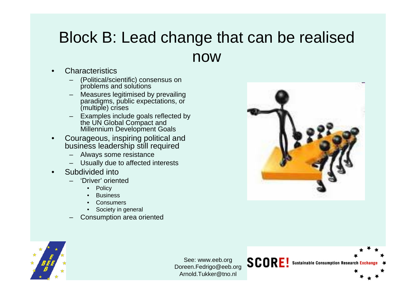#### Block B: Lead change that can be realised now

- **Characteristics** 
	- (Political/scientific) consensus on problems and solutions
	- Measures legitimised by prevailing paradigms, public expectations, or (multiple) crises
	- Examples include goals reflected by the UN Global Compact and Millennium Development Goals
- Courageous, inspiring political and business leadership still required
	- Always some resistance
	- Usually due to affected interests
- Subdivided into
	- 'Driver' oriented
		- **Policy**
		- **Business**
		- **Consumers**
		- Society in general
	- Consumption area oriented



SCORE! Sustainable Consumption Research Exchange

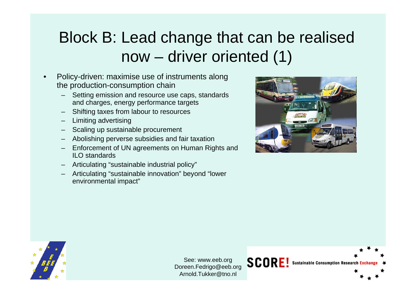### Block B: Lead change that can be realised now – driver oriented (1)

- Policy-driven: maximise use of instruments along the production-consumption chain
	- Setting emission and resource use caps, standards and charges, energy performance targets
	- Shifting taxes from labour to resources
	- Limiting advertising
	- Scaling up sustainable procurement
	- Abolishing perverse subsidies and fair taxation
	- Enforcement of UN agreements on Human Rights and ILO standards
	- Articulating "sustainable industrial policy"
	- Articulating "sustainable innovation" beyond "lower environmental impact"



**Sustainable Consumption Research Exchang** 



See: www.eeb.org Doreen.Fedrigo@eeb.org Arnold.Tukker@tno.nl

**SCORE!**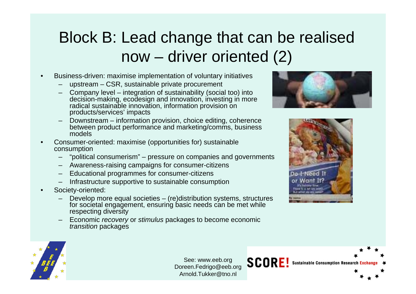### Block B: Lead change that can be realised now – driver oriented (2)

- Business-driven: maximise implementation of voluntary initiatives
	- upstream CSR, sustainable private procurement
	- Company level integration of sustainability (social too) into decision-making, ecodesign and innovation, investing in more radical sustainable innovation, information provision on products/services' impacts
	- Downstream information provision, choice editing, coherence between product performance and marketing/comms, business models
- Consumer-oriented: maximise (opportunities for) sustainable consumption
	- "political consumerism" pressure on companies and governments
	- Awareness-raising campaigns for consumer-citizens
	- Educational programmes for consumer-citizens
	- Infrastructure supportive to sustainable consumption
- Society-oriented:
	- Develop more equal societies (re)distribution systems, structures for societal engagement, ensuring basic needs can be met while respecting diversity
	- Economic *recovery* or *stimulus* packages to become economic *transition* packages





SCORE! Sustainable Consumption Research Exchange

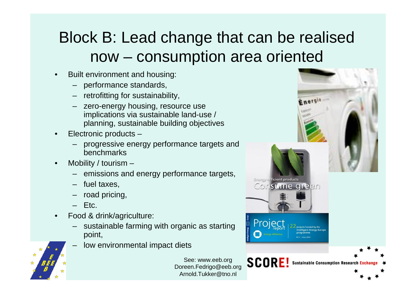#### Block B: Lead change that can be realised now – consumption area oriented

- Built environment and housing:
	- performance standards,
	- retrofitting for sustainability,
	- zero-energy housing, resource use implications via sustainable land-use / planning, sustainable building objectives
- Electronic products
	- progressive energy performance targets and benchmarks
- Mobility / tourism  $-$ 
	- emissions and energy performance targets,
	- fuel taxes,
	- road pricing,
	- $-$  Etc.
- Food & drink/agriculture:
	- sustainable farming with organic as starting point,
	- low environmental impact diets

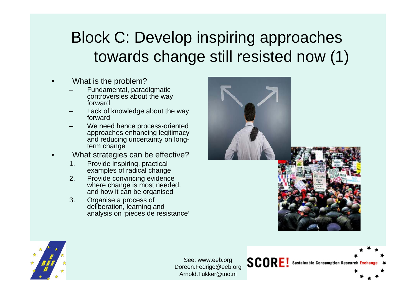### Block C: Develop inspiring approaches towards change still resisted now (1)

- What is the problem?
	- Fundamental, paradigmatic controversies about the way forward
	- Lack of knowledge about the way forward
	- We need hence process-oriented approaches enhancing legitimacy and reducing uncertainty on longterm change
- What strategies can be effective?
	- 1. Provide inspiring, practical examples of radical change
	- 2. Provide convincing evidence where change is most needed, and how it can be organised
	- 3. Organise a process of deliberation, learning and analysis on 'pieces de resistance'



SCORE! Sustainable Consumption Research Exchange

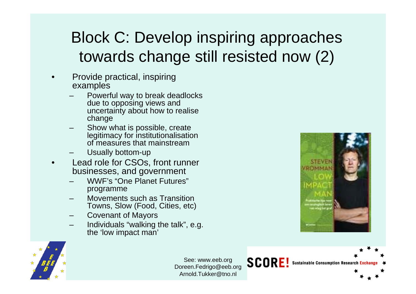### Block C: Develop inspiring approaches towards change still resisted now (2)

- Provide practical, inspiring examples
	- Powerful way to break deadlocks due to opposing views and uncertainty about how to realise change
	- Show what is possible, create legitimacy for institutionalisation of measures that mainstream
	- Usually bottom-up
- Lead role for CSOs, front runner businesses, and government
	- WWF's "One Planet Futures" programme
	- Movements such as Transition Towns, Slow (Food, Cities, etc)
	- Covenant of Mayors
	- Individuals "walking the talk", e.g. the 'low impact man'



**Sustainable Consumption Research Exchang** 



See: www.eeb.org Doreen.Fedrigo@eeb.org Arnold.Tukker@tno.nl

SCORE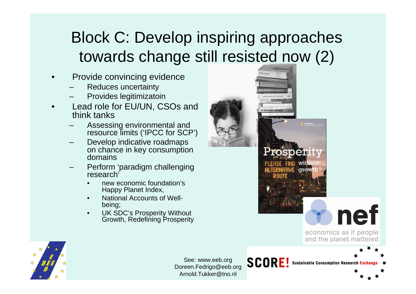#### Block C: Develop inspiring approaches towards change still resisted now (2)

- Provide convincing evidence
	- Reduces uncertainty
	- Provides legitimizatoin
- Lead role for EU/UN, CSOs and think tanks
	- Assessing environmental and resource limits ('IPCC for SCP')
	- Develop indicative roadmaps on chance in key consumption domains
	- Perform 'paradigm challenging research'
		- new economic foundation's Happy Planet Index,
		- National Accounts of Wellbeing;
		- UK SDC's Prosperity Without Growth, Redefining Prosperity



**Sustainable Consumption Research Exchange** 

**SCORE!** 

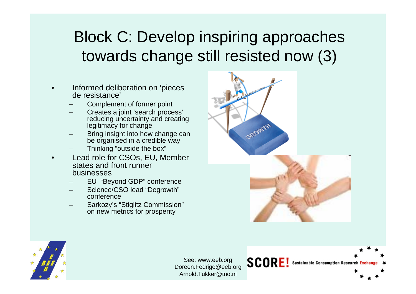#### Block C: Develop inspiring approaches towards change still resisted now (3)

- Informed deliberation on 'pieces de resistance'
	- Complement of former point
	- Creates a joint 'search process' reducing uncertainty and creating legitimacy for change
	- Bring insight into how change can be organised in a credible way
	- Thinking "outside the box"
- Lead role for CSOs, EU, Member states and front runner businesses
	- EU "Beyond GDP" conference
	- Science/CSO lead "Degrowth" conference
	- Sarkozy's "Stiglitz Commission" on new metrics for prosperity



**SCORE!** 

**Sustainable Consumption Research Exchang** 

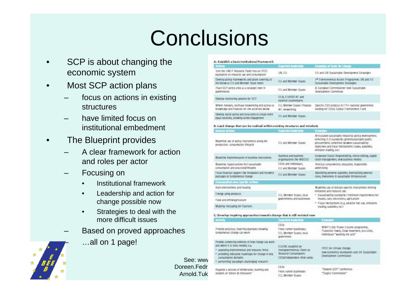# **Conclusions**

- SCP is about changing the economic system
- Most SCP action plans
	- focus on actions in existing structures
	- have limited focus on institutional embedment
- The Blueprint provides
	- A clear framework for action and roles per actor
	- Focusing on
		- Institutional framework
		- Leadership and action for change possible now
		- Strategies to deal with the more difficult issues
	- Based on proved approaches
		- …all on 1 page!



#### A: Establish a basicinstitutional framework

| <b>Actions</b>                                                                                         | <b>Expected leadership</b>                    | <b>Examples of tools for change</b>                                                             |
|--------------------------------------------------------------------------------------------------------|-----------------------------------------------|-------------------------------------------------------------------------------------------------|
| Turn the UNEP Resource Panel Into an IPCC<br>equivalent on resource use and consumption.               | UN. EU                                        | EU and UN Sustainable Development Strategies                                                    |
| Develop policy inameworks and plans covering all<br>the below at EU and Member Sigie levels            | EU and Member States                          | 7 <sup>th</sup> Environmental Action Programme; UN and EU<br>Susialnable Development Strategies |
| Place SCP policy units as a strategic level in<br><b>ODVETTITIE DES</b>                                | EU and Member Stairs                          | A European Commissioner level Sussainable<br>Development Committee                              |
| Develop manikoring systems for SCP                                                                     | EEA, EUROSTAT and<br>realized counterparts    |                                                                                                 |
| Where relevant, facilitate networking and access to<br>knowledge and finances for the activities below | EU, Member Sigles: Finances<br>All: meworking | Specific CSO projects in FP7; rational government<br>Runding For CSOs; Global Environment Fund  |
| Develop social policy and structures to create more<br>equal societies, allowing active engagement     | EU and Member Sizies                          |                                                                                                 |

#### B: Lead change that can be realised within existing structures and mindsets

| General actions                                                                         | Exacted leadership                                     | Examples                                                                                                                                                                                                                                        |  |
|-----------------------------------------------------------------------------------------|--------------------------------------------------------|-------------------------------------------------------------------------------------------------------------------------------------------------------------------------------------------------------------------------------------------------|--|
| Maximise use of policy instruments along the<br>production- consumption lifecycle       | EU and Member Stairs                                   | Articulated suscainable industrial policy developments:<br>enkvrdng II. O standards; green/sustainable public<br>procurement: coherence between sustainability<br>objectives and 6 scal mechanisms (saxes, subsidies,<br>emission trading, etc) |  |
| Maximise Implementation of business instruments                                         | Business and tuniness<br>organisations like WBCSD      | Corporate Social Responsibility, choice editing, supply<br>chain management, new business models                                                                                                                                                |  |
| Maximise Copportunities for I suscainable<br>consumption and practices/illestyles       | CSOs and Individuals.                                  | Political consumerism, education, responsible<br>advertising                                                                                                                                                                                    |  |
|                                                                                         | EU and Member Sizies                                   |                                                                                                                                                                                                                                                 |  |
| Focus Anancial support like Innovation and recovery-<br>packages on Rindamental change. | EU and Member Stairs                                   | Abolishing perverse subsidies, inermalising external<br>costs, investment in sustainable infrastructure.                                                                                                                                        |  |
| Comunicon-any years actions                                                             |                                                        |                                                                                                                                                                                                                                                 |  |
| Bulli environment and housing                                                           |                                                        | Maximise use of domain-specific instruments limiting<br>emissions and resource use:                                                                                                                                                             |  |
| Energy using produces                                                                   | EU, Member States, local<br>governments and businesses | . Susceinability standards / minimum redulrements for<br>houses, cars, electronics, agriculture<br>. Fiscal mechanisms le.g. aviation fuel ico, emissions<br>irading, subsides, excl.                                                           |  |
| Food and drink/apriculture                                                              |                                                        |                                                                                                                                                                                                                                                 |  |
| Mobility (Including for Tourism)                                                        |                                                        |                                                                                                                                                                                                                                                 |  |
|                                                                                         |                                                        |                                                                                                                                                                                                                                                 |  |

#### C: Develop inspiring approaches towards change that is still maisted now

| <b>Activity</b>                                                                                                                                                                                                                                                    | <b>Experted leadership</b>                                                                                  | Erampias                                                                                                             |
|--------------------------------------------------------------------------------------------------------------------------------------------------------------------------------------------------------------------------------------------------------------------|-------------------------------------------------------------------------------------------------------------|----------------------------------------------------------------------------------------------------------------------|
| Provide practical, inspiring examples showing<br>lundamenkal change can work.                                                                                                                                                                                      | CS0s<br>From numer businesses.<br>EU, Member States, Incall<br>government                                   | WWF's One Planet Fotores programme,<br>Transidon Towns, Slow movement, eco-cities,<br>individuals "walking the talk" |
| Frovide convincing evidence of how change can work.<br>and where it is most needed, e.g.<br>assessing environmental and resource limits.<br>· providing indicative roadmaps for change in key<br>consumption domains<br>performing 'paradigm challenging' research | EU/UN: esiabilish am<br>Intergovernmental Panel on<br>Resource Consumption;<br>CSDs/Independent think tanks | IPCC for climate change;<br>new economics houndaklor; and UK Sussairable<br>Development Contritission                |
| Organise a process of deliberation, learning and<br>analysis on 'pieces de resissance'                                                                                                                                                                             | CSDs<br>From rutiner businesses<br><b>Ell Member Sizier</b>                                                 | "Heyond GOP" conference:<br>"Sileliur Commission"                                                                    |